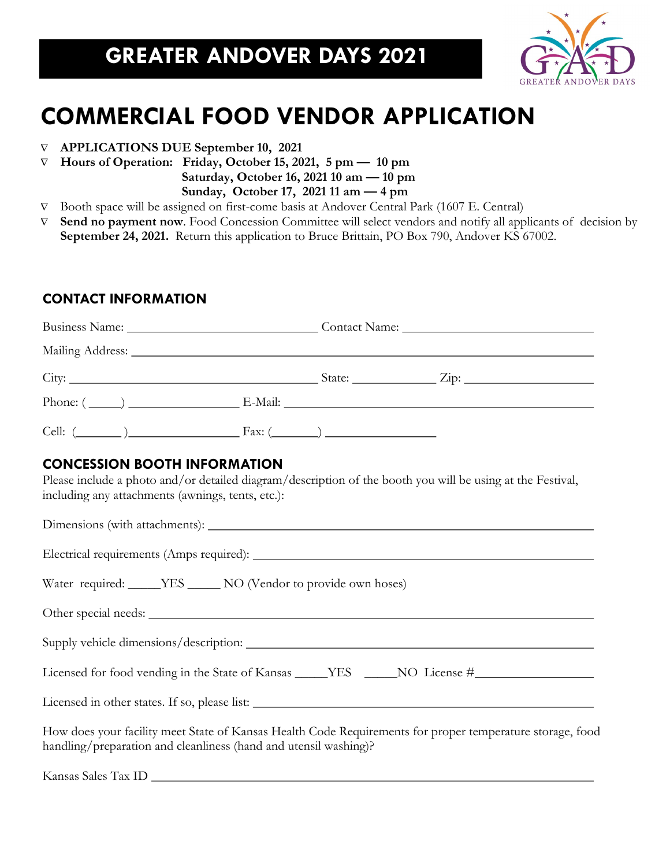

## **COMMERCIAL FOOD VENDOR APPLICATION**

- **APPLICATIONS DUE September 10, 2021**
- $\nabla$  Hours of Operation: Friday, October 15, 2021, 5 pm 10 pm

 **Saturday, October 16, 2021 10 am — 10 pm** 

 **Sunday, October 17, 2021 11 am — 4 pm**

- Booth space will be assigned on first-come basis at Andover Central Park (1607 E. Central)
- **Send no payment now**. Food Concession Committee will select vendors and notify all applicants of decision by **September 24, 2021.** Return this application to Bruce Brittain, PO Box 790, Andover KS 67002.

### **CONTACT INFORMATION**

|                                                                                          |                                                                  | Business Name: Contact Name: Contact Name: |                                                                                                            |  |
|------------------------------------------------------------------------------------------|------------------------------------------------------------------|--------------------------------------------|------------------------------------------------------------------------------------------------------------|--|
|                                                                                          | Mailing Address: Mailing Address:                                |                                            |                                                                                                            |  |
|                                                                                          |                                                                  |                                            |                                                                                                            |  |
|                                                                                          |                                                                  |                                            | Phone: $(\_\_\_\_\_)$ E-Mail: $\_\_\_\_\_\_$                                                               |  |
|                                                                                          | Cell: $(\_\_\_\_\_)$                                             |                                            |                                                                                                            |  |
| <b>CONCESSION BOOTH INFORMATION</b><br>including any attachments (awnings, tents, etc.): |                                                                  |                                            | Please include a photo and/or detailed diagram/description of the booth you will be using at the Festival, |  |
|                                                                                          |                                                                  |                                            |                                                                                                            |  |
|                                                                                          |                                                                  |                                            |                                                                                                            |  |
|                                                                                          | Water required: _____YES _____ NO (Vendor to provide own hoses)  |                                            |                                                                                                            |  |
|                                                                                          |                                                                  |                                            |                                                                                                            |  |
|                                                                                          |                                                                  |                                            |                                                                                                            |  |
|                                                                                          |                                                                  |                                            | Licensed for food vending in the State of Kansas _____YES _____NO License #_________________________       |  |
|                                                                                          |                                                                  |                                            |                                                                                                            |  |
|                                                                                          | handling/preparation and cleanliness (hand and utensil washing)? |                                            | How does your facility meet State of Kansas Health Code Requirements for proper temperature storage, food  |  |
|                                                                                          |                                                                  |                                            |                                                                                                            |  |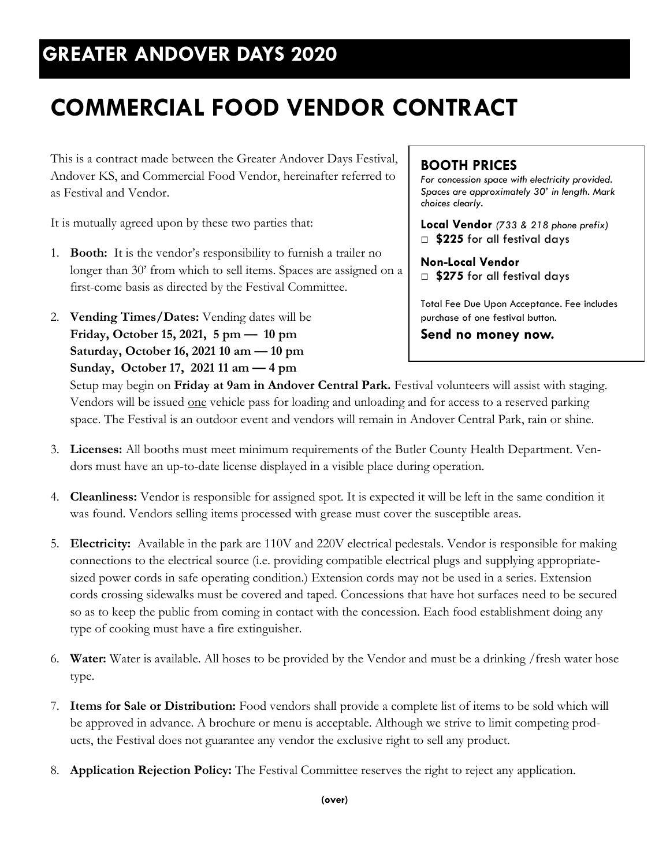### **GREATER ANDOVER DAYS 2020**

# **COMMERCIAL FOOD VENDOR CONTRACT**

This is a contract made between the Greater Andover Days Festival, Andover KS, and Commercial Food Vendor, hereinafter referred to as Festival and Vendor.

It is mutually agreed upon by these two parties that:

- 1. **Booth:** It is the vendor's responsibility to furnish a trailer no longer than 30' from which to sell items. Spaces are assigned on a first-come basis as directed by the Festival Committee.
- 2. **Vending Times/Dates:** Vending dates will be **Friday, October 15, 2021, 5 pm — 10 pm Saturday, October 16, 2021 10 am — 10 pm Sunday, October 17, 2021 11 am — 4 pm**

#### **BOOTH PRICES**

*For concession space with electricity provided. Spaces are approximately 30' in length. Mark choices clearly.*

**Local Vendor** *(733 & 218 phone prefix)* □ **\$225** for all festival days

**Non-Local Vendor** □ \$275 for all festival days

Total Fee Due Upon Acceptance. Fee includes purchase of one festival button.

**Send no money now.**

Setup may begin on **Friday at 9am in Andover Central Park.** Festival volunteers will assist with staging. Vendors will be issued one vehicle pass for loading and unloading and for access to a reserved parking space. The Festival is an outdoor event and vendors will remain in Andover Central Park, rain or shine.

- 3. **Licenses:** All booths must meet minimum requirements of the Butler County Health Department. Vendors must have an up-to-date license displayed in a visible place during operation.
- 4. **Cleanliness:** Vendor is responsible for assigned spot. It is expected it will be left in the same condition it was found. Vendors selling items processed with grease must cover the susceptible areas.
- 5. **Electricity:** Available in the park are 110V and 220V electrical pedestals. Vendor is responsible for making connections to the electrical source (i.e. providing compatible electrical plugs and supplying appropriatesized power cords in safe operating condition.) Extension cords may not be used in a series. Extension cords crossing sidewalks must be covered and taped. Concessions that have hot surfaces need to be secured so as to keep the public from coming in contact with the concession. Each food establishment doing any type of cooking must have a fire extinguisher.
- 6. **Water:** Water is available. All hoses to be provided by the Vendor and must be a drinking /fresh water hose type.
- 7. **Items for Sale or Distribution:** Food vendors shall provide a complete list of items to be sold which will be approved in advance. A brochure or menu is acceptable. Although we strive to limit competing products, the Festival does not guarantee any vendor the exclusive right to sell any product.
- 8. **Application Rejection Policy:** The Festival Committee reserves the right to reject any application.